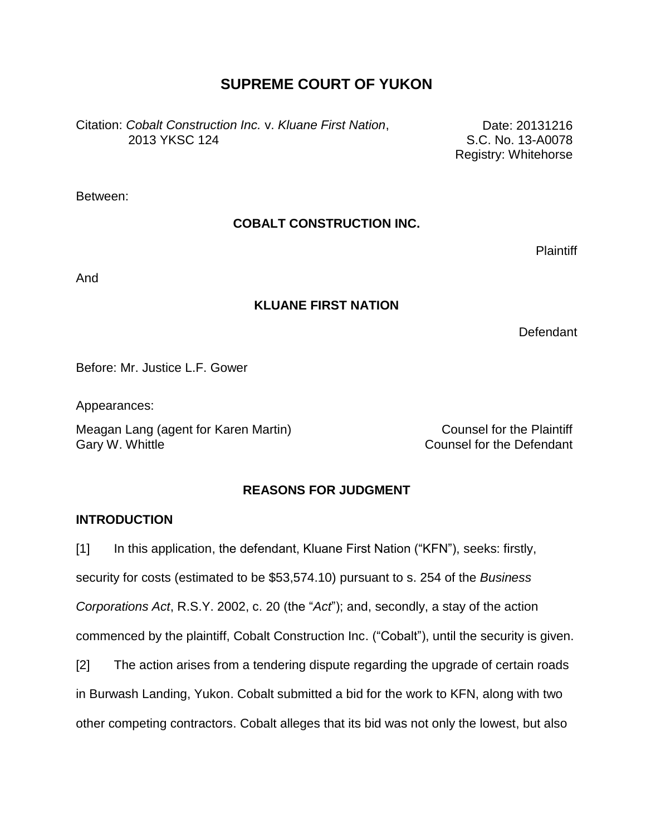# **SUPREME COURT OF YUKON**

Citation: *Cobalt Construction Inc.* v. *Kluane First Nation*, 2013 YKSC 124

Date: 20131216 S.C. No. 13-A0078 Registry: Whitehorse

Between:

# **COBALT CONSTRUCTION INC.**

**Plaintiff** 

And

# **KLUANE FIRST NATION**

Defendant

Before: Mr. Justice L.F. Gower

Appearances:

Meagan Lang (agent for Karen Martin) Meagan Lang (agent for Karen Martin) Gary W. Whittle Counsel for the Defendant

# **REASONS FOR JUDGMENT**

## **INTRODUCTION**

[1] In this application, the defendant, Kluane First Nation ("KFN"), seeks: firstly,

security for costs (estimated to be \$53,574.10) pursuant to s. 254 of the *Business* 

*Corporations Act*, R.S.Y. 2002, c. 20 (the "*Act*"); and, secondly, a stay of the action

commenced by the plaintiff, Cobalt Construction Inc. ("Cobalt"), until the security is given.

[2] The action arises from a tendering dispute regarding the upgrade of certain roads

in Burwash Landing, Yukon. Cobalt submitted a bid for the work to KFN, along with two

other competing contractors. Cobalt alleges that its bid was not only the lowest, but also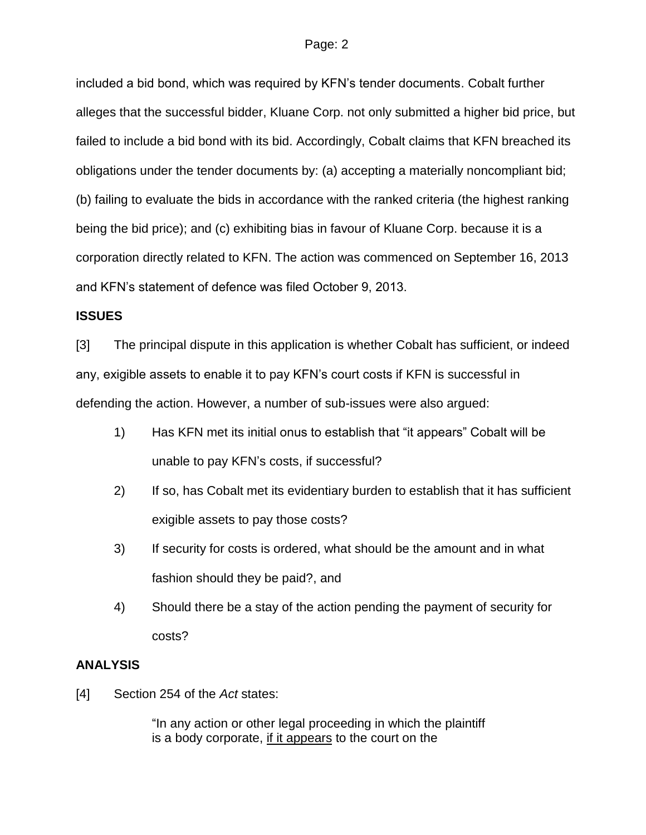included a bid bond, which was required by KFN"s tender documents. Cobalt further alleges that the successful bidder, Kluane Corp. not only submitted a higher bid price, but failed to include a bid bond with its bid. Accordingly, Cobalt claims that KFN breached its obligations under the tender documents by: (a) accepting a materially noncompliant bid; (b) failing to evaluate the bids in accordance with the ranked criteria (the highest ranking being the bid price); and (c) exhibiting bias in favour of Kluane Corp. because it is a corporation directly related to KFN. The action was commenced on September 16, 2013 and KFN"s statement of defence was filed October 9, 2013.

### **ISSUES**

[3] The principal dispute in this application is whether Cobalt has sufficient, or indeed any, exigible assets to enable it to pay KFN"s court costs if KFN is successful in defending the action. However, a number of sub-issues were also argued:

- 1) Has KFN met its initial onus to establish that "it appears" Cobalt will be unable to pay KFN"s costs, if successful?
- 2) If so, has Cobalt met its evidentiary burden to establish that it has sufficient exigible assets to pay those costs?
- 3) If security for costs is ordered, what should be the amount and in what fashion should they be paid?, and
- 4) Should there be a stay of the action pending the payment of security for costs?

## **ANALYSIS**

[4] Section 254 of the *Act* states:

"In any action or other legal proceeding in which the plaintiff is a body corporate, if it appears to the court on the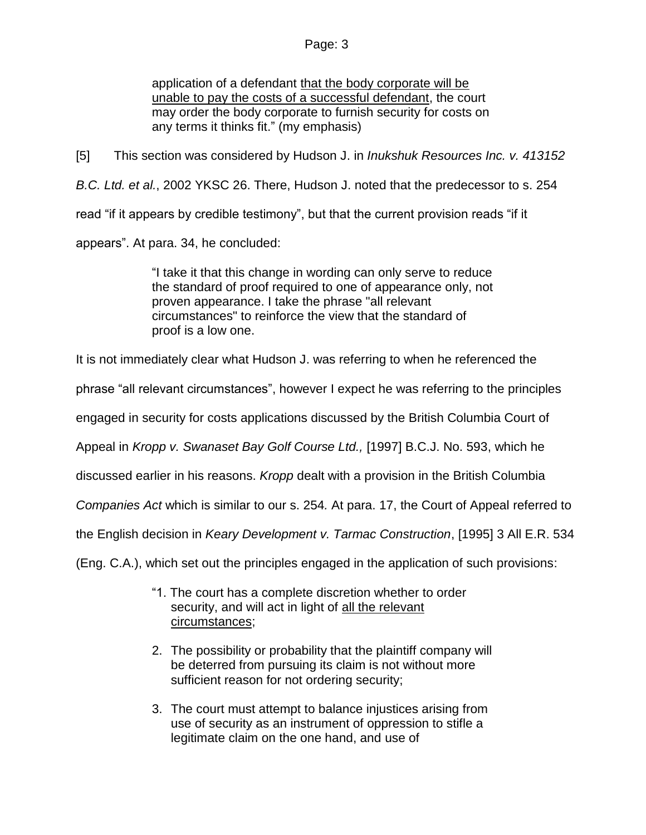application of a defendant that the body corporate will be unable to pay the costs of a successful defendant, the court may order the body corporate to furnish security for costs on any terms it thinks fit." (my emphasis)

[5] This section was considered by Hudson J. in *Inukshuk Resources Inc. v. 413152* 

*B.C. Ltd. et al.*, 2002 YKSC 26. There, Hudson J. noted that the predecessor to s. 254

read "if it appears by credible testimony", but that the current provision reads "if it

appears". At para. 34, he concluded:

"I take it that this change in wording can only serve to reduce the standard of proof required to one of appearance only, not proven appearance. I take the phrase "all relevant circumstances" to reinforce the view that the standard of proof is a low one.

It is not immediately clear what Hudson J. was referring to when he referenced the

phrase "all relevant circumstances", however I expect he was referring to the principles

engaged in security for costs applications discussed by the British Columbia Court of

Appeal in *Kropp v. Swanaset Bay Golf Course Ltd.,* [1997] B.C.J. No. 593, which he

discussed earlier in his reasons. *Kropp* dealt with a provision in the British Columbia

*Companies Act* which is similar to our s. 254*.* At para. 17, the Court of Appeal referred to

the English decision in *Keary Development v. Tarmac Construction*, [1995] 3 All E.R. 534

(Eng. C.A.), which set out the principles engaged in the application of such provisions:

- "1. The court has a complete discretion whether to order security, and will act in light of all the relevant circumstances;
- 2. The possibility or probability that the plaintiff company will be deterred from pursuing its claim is not without more sufficient reason for not ordering security;
- 3. The court must attempt to balance injustices arising from use of security as an instrument of oppression to stifle a legitimate claim on the one hand, and use of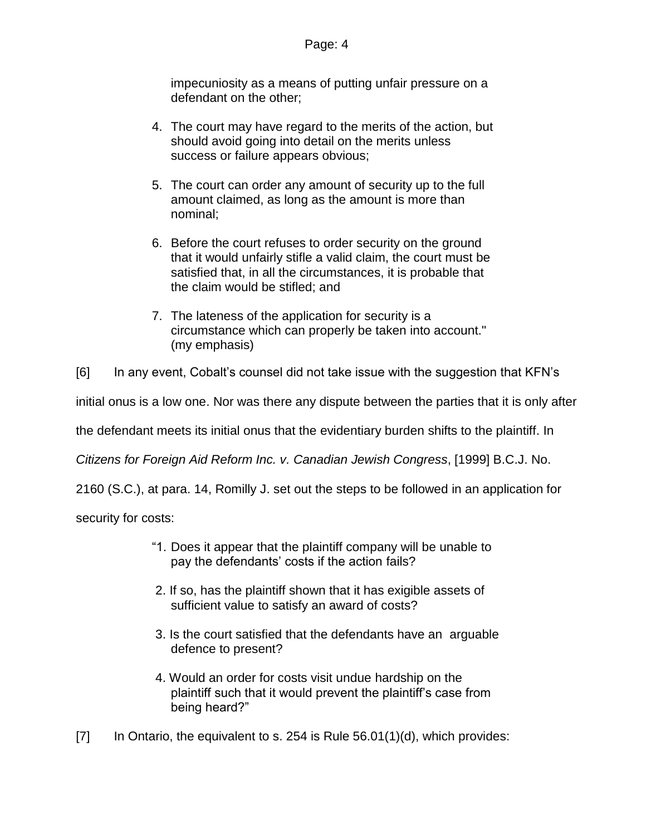impecuniosity as a means of putting unfair pressure on a defendant on the other;

- 4. The court may have regard to the merits of the action, but should avoid going into detail on the merits unless success or failure appears obvious;
- 5. The court can order any amount of security up to the full amount claimed, as long as the amount is more than nominal;
- 6. Before the court refuses to order security on the ground that it would unfairly stifle a valid claim, the court must be satisfied that, in all the circumstances, it is probable that the claim would be stifled; and
- 7. The lateness of the application for security is a circumstance which can properly be taken into account." (my emphasis)
- [6] In any event, Cobalt"s counsel did not take issue with the suggestion that KFN"s

initial onus is a low one. Nor was there any dispute between the parties that it is only after

the defendant meets its initial onus that the evidentiary burden shifts to the plaintiff. In

*Citizens for Foreign Aid Reform Inc. v. Canadian Jewish Congress*, [1999] B.C.J. No.

2160 (S.C.), at para. 14, Romilly J. set out the steps to be followed in an application for

security for costs:

- "1. Does it appear that the plaintiff company will be unable to pay the defendants' costs if the action fails?
- 2. If so, has the plaintiff shown that it has exigible assets of sufficient value to satisfy an award of costs?
- 3. Is the court satisfied that the defendants have an arguable defence to present?
- 4. Would an order for costs visit undue hardship on the plaintiff such that it would prevent the plaintiff's case from being heard?"
- $[7]$  In Ontario, the equivalent to s. 254 is Rule 56.01(1)(d), which provides: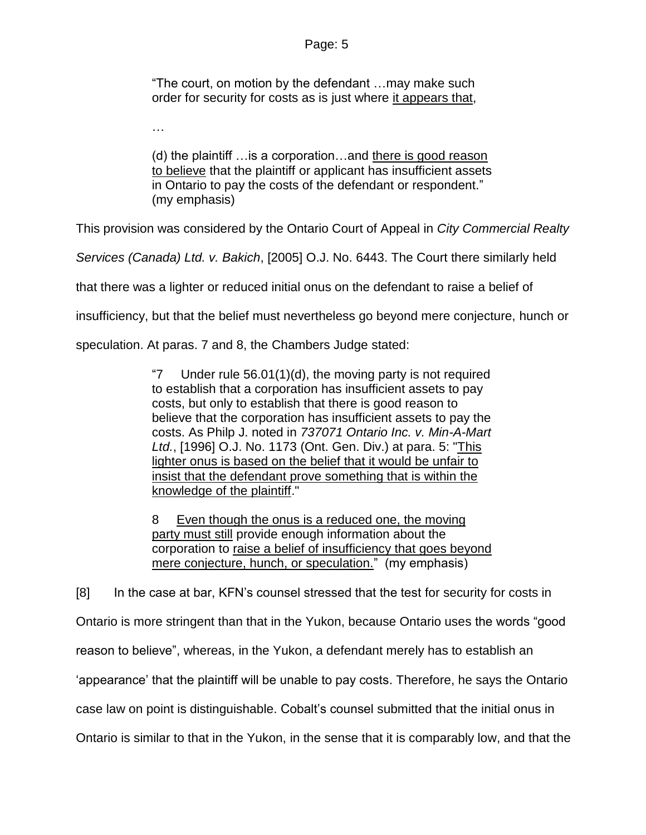"The court, on motion by the defendant …may make such order for security for costs as is just where it appears that,

…

(d) the plaintiff …is a corporation…and there is good reason to believe that the plaintiff or applicant has insufficient assets in Ontario to pay the costs of the defendant or respondent." (my emphasis)

This provision was considered by the Ontario Court of Appeal in *City Commercial Realty* 

*Services (Canada) Ltd. v. Bakich*, [2005] O.J. No. 6443. The Court there similarly held

that there was a lighter or reduced initial onus on the defendant to raise a belief of

insufficiency, but that the belief must nevertheless go beyond mere conjecture, hunch or

speculation. At paras. 7 and 8, the Chambers Judge stated:

"7 Under rule 56.01(1)(d), the moving party is not required to establish that a corporation has insufficient assets to pay costs, but only to establish that there is good reason to believe that the corporation has insufficient assets to pay the costs. As Philp J. noted in *737071 Ontario Inc. v. Min-A-Mart Ltd.*, [\[1996\] O.J. No. 1173](http://www.lexisnexis.com/ca/legal/search/runRemoteLink.do?A=0.9451579441954645&bct=A&service=citation&risb=21_T18802072853&langcountry=CA&linkInfo=F%23CA%23OJ%23ref%251173%25sel1%251996%25year%251996%25) (Ont. Gen. Div.) at para. 5: "This lighter onus is based on the belief that it would be unfair to insist that the defendant prove something that is within the knowledge of the plaintiff."

8 Even though the onus is a reduced one, the moving party must still provide enough information about the corporation to raise a belief of insufficiency that goes beyond mere conjecture, hunch, or speculation." (my emphasis)

[8] In the case at bar, KFN"s counsel stressed that the test for security for costs in Ontario is more stringent than that in the Yukon, because Ontario uses the words "good reason to believe", whereas, in the Yukon, a defendant merely has to establish an "appearance" that the plaintiff will be unable to pay costs. Therefore, he says the Ontario case law on point is distinguishable. Cobalt"s counsel submitted that the initial onus in Ontario is similar to that in the Yukon, in the sense that it is comparably low, and that the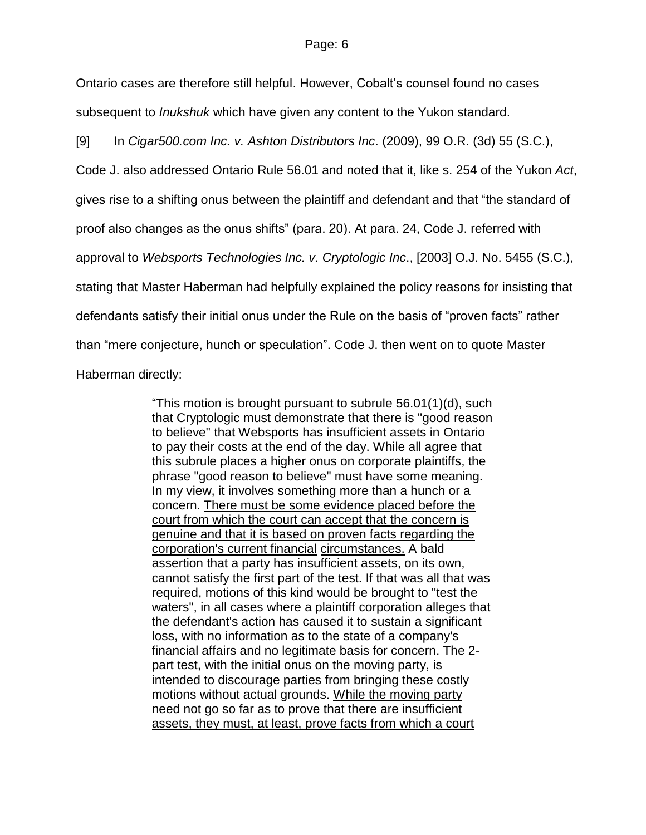Ontario cases are therefore still helpful. However, Cobalt"s counsel found no cases subsequent to *Inukshuk* which have given any content to the Yukon standard.

[9] In *Cigar500.com Inc. v. Ashton Distributors Inc*. (2009), 99 O.R. (3d) 55 (S.C.),

Code J. also addressed Ontario Rule 56.01 and noted that it, like s. 254 of the Yukon *Act*,

gives rise to a shifting onus between the plaintiff and defendant and that "the standard of

proof also changes as the onus shifts" (para. 20). At para. 24, Code J. referred with

approval to *Websports Technologies Inc. v. Cryptologic Inc*., [2003] O.J. No. 5455 (S.C.),

stating that Master Haberman had helpfully explained the policy reasons for insisting that

defendants satisfy their initial onus under the Rule on the basis of "proven facts" rather

than "mere conjecture, hunch or speculation". Code J. then went on to quote Master

Haberman directly:

"This motion is brought pursuant to subrule 56.01(1)(d), such that Cryptologic must demonstrate that there is "good reason to believe" that Websports has insufficient assets in Ontario to pay their costs at the end of the day. While all agree that this subrule places a higher onus on corporate plaintiffs, the phrase "good reason to believe" must have some meaning. In my view, it involves something more than a hunch or a concern. There must be some evidence placed before the court from which the court can accept that the concern is genuine and that it is based on proven facts regarding the corporation's current financial circumstances. A bald assertion that a party has insufficient assets, on its own, cannot satisfy the first part of the test. If that was all that was required, motions of this kind would be brought to "test the waters", in all cases where a plaintiff corporation alleges that the defendant's action has caused it to sustain a significant loss, with no information as to the state of a company's financial affairs and no legitimate basis for concern. The 2 part test, with the initial onus on the moving party, is intended to discourage parties from bringing these costly motions without actual grounds. While the moving party need not go so far as to prove that there are insufficient assets, they must, at least, prove facts from which a court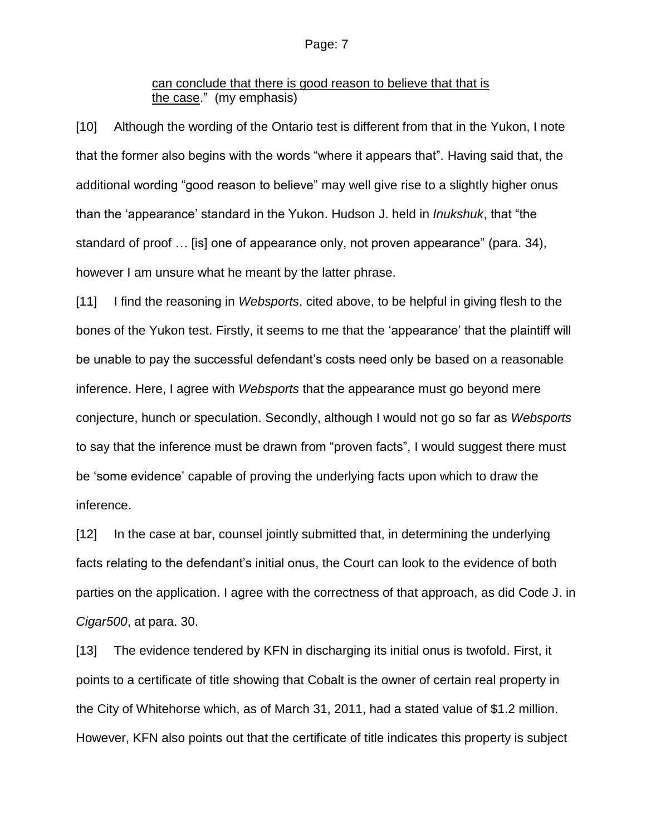## can conclude that there is good reason to believe that that is the case." (my emphasis)

[10] Although the wording of the Ontario test is different from that in the Yukon, I note that the former also begins with the words "where it appears that". Having said that, the additional wording "good reason to believe" may well give rise to a slightly higher onus than the "appearance" standard in the Yukon. Hudson J. held in *Inukshuk*, that "the standard of proof … [is] one of appearance only, not proven appearance" (para. 34), however I am unsure what he meant by the latter phrase.

[11] I find the reasoning in *Websports*, cited above, to be helpful in giving flesh to the bones of the Yukon test. Firstly, it seems to me that the "appearance" that the plaintiff will be unable to pay the successful defendant"s costs need only be based on a reasonable inference. Here, I agree with *Websports* that the appearance must go beyond mere conjecture, hunch or speculation. Secondly, although I would not go so far as *Websports* to say that the inference must be drawn from "proven facts", I would suggest there must be "some evidence" capable of proving the underlying facts upon which to draw the inference.

[12] In the case at bar, counsel jointly submitted that, in determining the underlying facts relating to the defendant"s initial onus, the Court can look to the evidence of both parties on the application. I agree with the correctness of that approach, as did Code J. in *Cigar500*, at para. 30.

[13] The evidence tendered by KFN in discharging its initial onus is twofold. First, it points to a certificate of title showing that Cobalt is the owner of certain real property in the City of Whitehorse which, as of March 31, 2011, had a stated value of \$1.2 million. However, KFN also points out that the certificate of title indicates this property is subject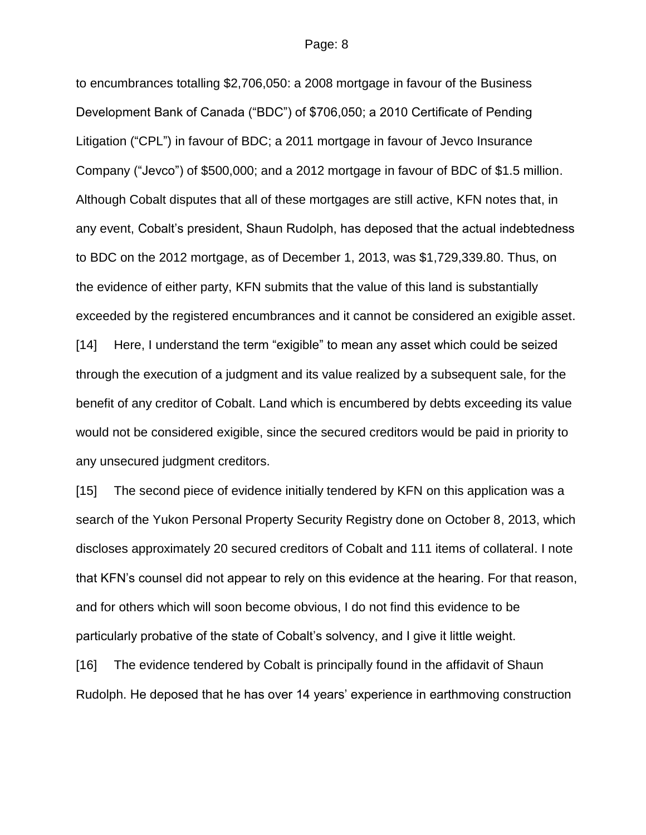to encumbrances totalling \$2,706,050: a 2008 mortgage in favour of the Business Development Bank of Canada ("BDC") of \$706,050; a 2010 Certificate of Pending Litigation ("CPL") in favour of BDC; a 2011 mortgage in favour of Jevco Insurance Company ("Jevco") of \$500,000; and a 2012 mortgage in favour of BDC of \$1.5 million. Although Cobalt disputes that all of these mortgages are still active, KFN notes that, in any event, Cobalt"s president, Shaun Rudolph, has deposed that the actual indebtedness to BDC on the 2012 mortgage, as of December 1, 2013, was \$1,729,339.80. Thus, on the evidence of either party, KFN submits that the value of this land is substantially exceeded by the registered encumbrances and it cannot be considered an exigible asset. [14] Here, I understand the term "exigible" to mean any asset which could be seized through the execution of a judgment and its value realized by a subsequent sale, for the benefit of any creditor of Cobalt. Land which is encumbered by debts exceeding its value would not be considered exigible, since the secured creditors would be paid in priority to any unsecured judgment creditors.

[15] The second piece of evidence initially tendered by KFN on this application was a search of the Yukon Personal Property Security Registry done on October 8, 2013, which discloses approximately 20 secured creditors of Cobalt and 111 items of collateral. I note that KFN"s counsel did not appear to rely on this evidence at the hearing. For that reason, and for others which will soon become obvious, I do not find this evidence to be particularly probative of the state of Cobalt"s solvency, and I give it little weight.

[16] The evidence tendered by Cobalt is principally found in the affidavit of Shaun Rudolph. He deposed that he has over 14 years" experience in earthmoving construction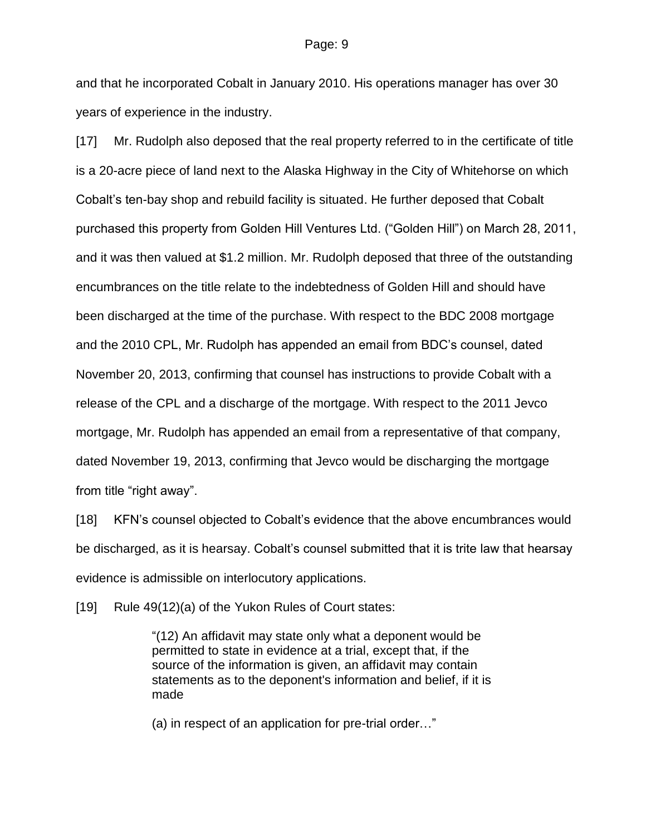and that he incorporated Cobalt in January 2010. His operations manager has over 30 years of experience in the industry.

[17] Mr. Rudolph also deposed that the real property referred to in the certificate of title is a 20-acre piece of land next to the Alaska Highway in the City of Whitehorse on which Cobalt"s ten-bay shop and rebuild facility is situated. He further deposed that Cobalt purchased this property from Golden Hill Ventures Ltd. ("Golden Hill") on March 28, 2011, and it was then valued at \$1.2 million. Mr. Rudolph deposed that three of the outstanding encumbrances on the title relate to the indebtedness of Golden Hill and should have been discharged at the time of the purchase. With respect to the BDC 2008 mortgage and the 2010 CPL, Mr. Rudolph has appended an email from BDC"s counsel, dated November 20, 2013, confirming that counsel has instructions to provide Cobalt with a release of the CPL and a discharge of the mortgage. With respect to the 2011 Jevco mortgage, Mr. Rudolph has appended an email from a representative of that company, dated November 19, 2013, confirming that Jevco would be discharging the mortgage from title "right away".

[18] KFN"s counsel objected to Cobalt"s evidence that the above encumbrances would be discharged, as it is hearsay. Cobalt"s counsel submitted that it is trite law that hearsay evidence is admissible on interlocutory applications.

[19] Rule 49(12)(a) of the Yukon Rules of Court states:

"(12) An affidavit may state only what a deponent would be permitted to state in evidence at a trial, except that, if the source of the information is given, an affidavit may contain statements as to the deponent's information and belief, if it is made

(a) in respect of an application for pre-trial order…"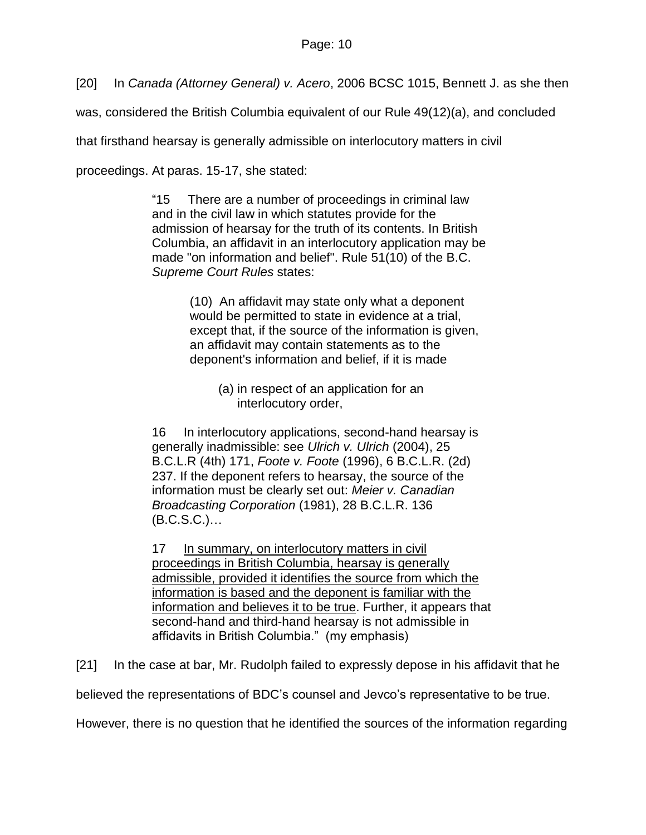[20] In *Canada (Attorney General) v. Acero*, 2006 BCSC 1015, Bennett J. as she then

was, considered the British Columbia equivalent of our Rule 49(12)(a), and concluded

that firsthand hearsay is generally admissible on interlocutory matters in civil

proceedings. At paras. 15-17, she stated:

"15 There are a number of proceedings in criminal law and in the civil law in which statutes provide for the admission of hearsay for the truth of its contents. In British Columbia, an affidavit in an interlocutory application may be made "on information and belief". Rule 51(10) of the B.C. *Supreme Court Rules* states:

> (10) An affidavit may state only what a deponent would be permitted to state in evidence at a trial, except that, if the source of the information is given, an affidavit may contain statements as to the deponent's information and belief, if it is made

(a) in respect of an application for an interlocutory order,

16 In interlocutory applications, second-hand hearsay is generally inadmissible: see *Ulrich v. Ulrich* [\(2004\), 25](http://www.lexisnexis.com/ca/legal/search/runRemoteLink.do?A=0.9985041685106225&bct=A&service=citation&risb=21_T18808024997&langcountry=CA&linkInfo=F%23CA%23BCLR4%23vol%2525%25sel1%252004%25page%25171%25year%252004%25sel2%2525%25decisiondate%252004%25)  [B.C.L.R \(4th\) 171,](http://www.lexisnexis.com/ca/legal/search/runRemoteLink.do?A=0.9985041685106225&bct=A&service=citation&risb=21_T18808024997&langcountry=CA&linkInfo=F%23CA%23BCLR4%23vol%2525%25sel1%252004%25page%25171%25year%252004%25sel2%2525%25decisiondate%252004%25) *Foote v. Foote* [\(1996\), 6 B.C.L.R. \(2d\)](http://www.lexisnexis.com/ca/legal/search/runRemoteLink.do?A=0.2696980905507238&bct=A&service=citation&risb=21_T18808024997&langcountry=CA&linkInfo=F%23CA%23BCLR2%23vol%256%25sel1%251996%25page%25237%25year%251996%25sel2%256%25decisiondate%251996%25)  [237.](http://www.lexisnexis.com/ca/legal/search/runRemoteLink.do?A=0.2696980905507238&bct=A&service=citation&risb=21_T18808024997&langcountry=CA&linkInfo=F%23CA%23BCLR2%23vol%256%25sel1%251996%25page%25237%25year%251996%25sel2%256%25decisiondate%251996%25) If the deponent refers to hearsay, the source of the information must be clearly set out: *Meier v. Canadian Broadcasting Corporation* [\(1981\), 28 B.C.L.R. 136](http://www.lexisnexis.com/ca/legal/search/runRemoteLink.do?A=0.38536173900146675&bct=A&service=citation&risb=21_T18808024997&langcountry=CA&linkInfo=F%23CA%23BCLR%23vol%2528%25sel1%251981%25page%25136%25year%251981%25sel2%2528%25decisiondate%251981%25) (B.C.S.C.)…

17 In summary, on interlocutory matters in civil proceedings in British Columbia, hearsay is generally admissible, provided it identifies the source from which the information is based and the deponent is familiar with the information and believes it to be true. Further, it appears that second-hand and third-hand hearsay is not admissible in affidavits in British Columbia." (my emphasis)

[21] In the case at bar, Mr. Rudolph failed to expressly depose in his affidavit that he

believed the representations of BDC"s counsel and Jevco"s representative to be true.

However, there is no question that he identified the sources of the information regarding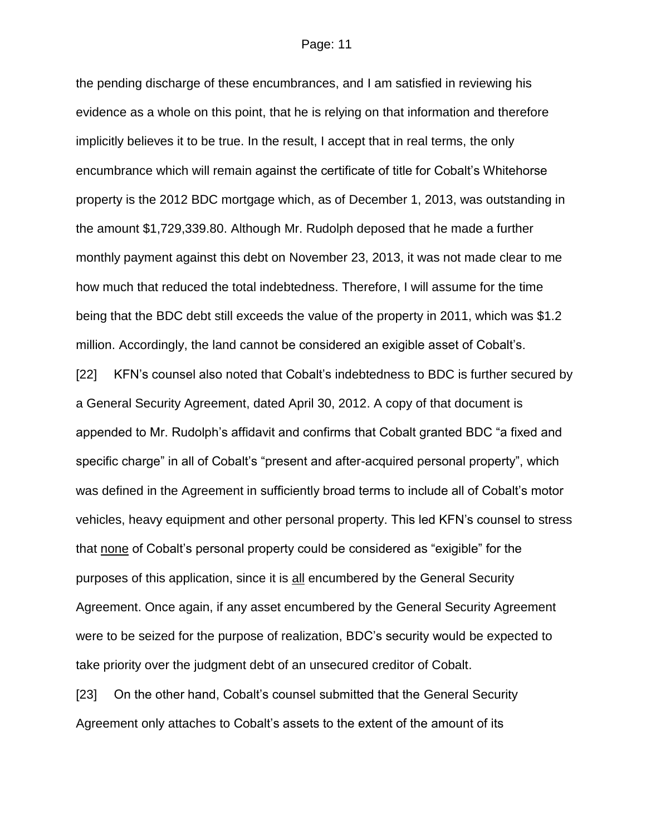the pending discharge of these encumbrances, and I am satisfied in reviewing his evidence as a whole on this point, that he is relying on that information and therefore implicitly believes it to be true. In the result, I accept that in real terms, the only encumbrance which will remain against the certificate of title for Cobalt"s Whitehorse property is the 2012 BDC mortgage which, as of December 1, 2013, was outstanding in the amount \$1,729,339.80. Although Mr. Rudolph deposed that he made a further monthly payment against this debt on November 23, 2013, it was not made clear to me how much that reduced the total indebtedness. Therefore, I will assume for the time being that the BDC debt still exceeds the value of the property in 2011, which was \$1.2 million. Accordingly, the land cannot be considered an exigible asset of Cobalt"s. [22] KFN's counsel also noted that Cobalt's indebtedness to BDC is further secured by

a General Security Agreement, dated April 30, 2012. A copy of that document is appended to Mr. Rudolph"s affidavit and confirms that Cobalt granted BDC "a fixed and specific charge" in all of Cobalt"s "present and after-acquired personal property", which was defined in the Agreement in sufficiently broad terms to include all of Cobalt"s motor vehicles, heavy equipment and other personal property. This led KFN"s counsel to stress that none of Cobalt"s personal property could be considered as "exigible" for the purposes of this application, since it is all encumbered by the General Security Agreement. Once again, if any asset encumbered by the General Security Agreement were to be seized for the purpose of realization, BDC"s security would be expected to take priority over the judgment debt of an unsecured creditor of Cobalt.

[23] On the other hand, Cobalt"s counsel submitted that the General Security Agreement only attaches to Cobalt"s assets to the extent of the amount of its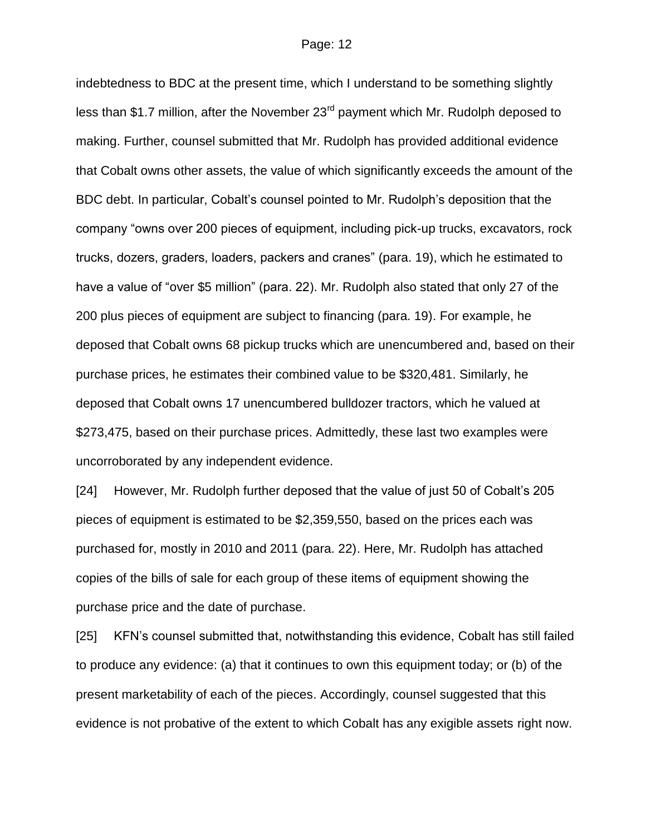indebtedness to BDC at the present time, which I understand to be something slightly less than \$1.7 million, after the November  $23<sup>rd</sup>$  payment which Mr. Rudolph deposed to making. Further, counsel submitted that Mr. Rudolph has provided additional evidence that Cobalt owns other assets, the value of which significantly exceeds the amount of the BDC debt. In particular, Cobalt"s counsel pointed to Mr. Rudolph"s deposition that the company "owns over 200 pieces of equipment, including pick-up trucks, excavators, rock trucks, dozers, graders, loaders, packers and cranes" (para. 19), which he estimated to have a value of "over \$5 million" (para. 22). Mr. Rudolph also stated that only 27 of the 200 plus pieces of equipment are subject to financing (para. 19). For example, he deposed that Cobalt owns 68 pickup trucks which are unencumbered and, based on their purchase prices, he estimates their combined value to be \$320,481. Similarly, he deposed that Cobalt owns 17 unencumbered bulldozer tractors, which he valued at \$273,475, based on their purchase prices. Admittedly, these last two examples were uncorroborated by any independent evidence.

[24] However, Mr. Rudolph further deposed that the value of just 50 of Cobalt"s 205 pieces of equipment is estimated to be \$2,359,550, based on the prices each was purchased for, mostly in 2010 and 2011 (para. 22). Here, Mr. Rudolph has attached copies of the bills of sale for each group of these items of equipment showing the purchase price and the date of purchase.

[25] KFN"s counsel submitted that, notwithstanding this evidence, Cobalt has still failed to produce any evidence: (a) that it continues to own this equipment today; or (b) of the present marketability of each of the pieces. Accordingly, counsel suggested that this evidence is not probative of the extent to which Cobalt has any exigible assets right now.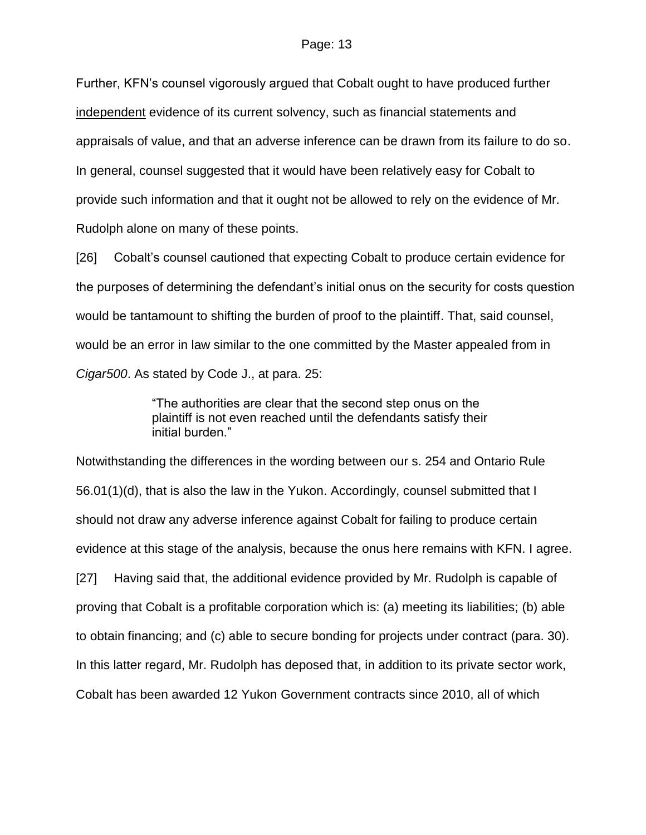Further, KFN"s counsel vigorously argued that Cobalt ought to have produced further independent evidence of its current solvency, such as financial statements and appraisals of value, and that an adverse inference can be drawn from its failure to do so. In general, counsel suggested that it would have been relatively easy for Cobalt to provide such information and that it ought not be allowed to rely on the evidence of Mr. Rudolph alone on many of these points.

[26] Cobalt"s counsel cautioned that expecting Cobalt to produce certain evidence for the purposes of determining the defendant"s initial onus on the security for costs question would be tantamount to shifting the burden of proof to the plaintiff. That, said counsel, would be an error in law similar to the one committed by the Master appealed from in *Cigar500*. As stated by Code J., at para. 25:

> "The authorities are clear that the second step onus on the plaintiff is not even reached until the defendants satisfy their initial burden."

Notwithstanding the differences in the wording between our s. 254 and Ontario Rule 56.01(1)(d), that is also the law in the Yukon. Accordingly, counsel submitted that I should not draw any adverse inference against Cobalt for failing to produce certain evidence at this stage of the analysis, because the onus here remains with KFN. I agree. [27] Having said that, the additional evidence provided by Mr. Rudolph is capable of proving that Cobalt is a profitable corporation which is: (a) meeting its liabilities; (b) able to obtain financing; and (c) able to secure bonding for projects under contract (para. 30). In this latter regard, Mr. Rudolph has deposed that, in addition to its private sector work, Cobalt has been awarded 12 Yukon Government contracts since 2010, all of which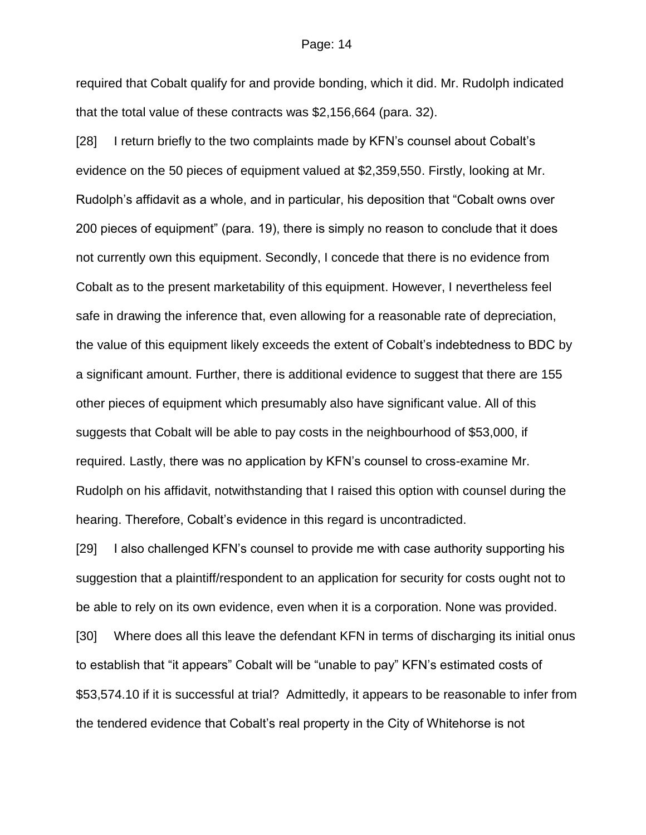required that Cobalt qualify for and provide bonding, which it did. Mr. Rudolph indicated that the total value of these contracts was \$2,156,664 (para. 32).

[28] I return briefly to the two complaints made by KFN"s counsel about Cobalt"s evidence on the 50 pieces of equipment valued at \$2,359,550. Firstly, looking at Mr. Rudolph"s affidavit as a whole, and in particular, his deposition that "Cobalt owns over 200 pieces of equipment" (para. 19), there is simply no reason to conclude that it does not currently own this equipment. Secondly, I concede that there is no evidence from Cobalt as to the present marketability of this equipment. However, I nevertheless feel safe in drawing the inference that, even allowing for a reasonable rate of depreciation, the value of this equipment likely exceeds the extent of Cobalt"s indebtedness to BDC by a significant amount. Further, there is additional evidence to suggest that there are 155 other pieces of equipment which presumably also have significant value. All of this suggests that Cobalt will be able to pay costs in the neighbourhood of \$53,000, if required. Lastly, there was no application by KFN"s counsel to cross-examine Mr. Rudolph on his affidavit, notwithstanding that I raised this option with counsel during the hearing. Therefore, Cobalt's evidence in this regard is uncontradicted.

[29] I also challenged KFN"s counsel to provide me with case authority supporting his suggestion that a plaintiff/respondent to an application for security for costs ought not to be able to rely on its own evidence, even when it is a corporation. None was provided. [30] Where does all this leave the defendant KFN in terms of discharging its initial onus to establish that "it appears" Cobalt will be "unable to pay" KFN"s estimated costs of \$53,574.10 if it is successful at trial? Admittedly, it appears to be reasonable to infer from the tendered evidence that Cobalt"s real property in the City of Whitehorse is not